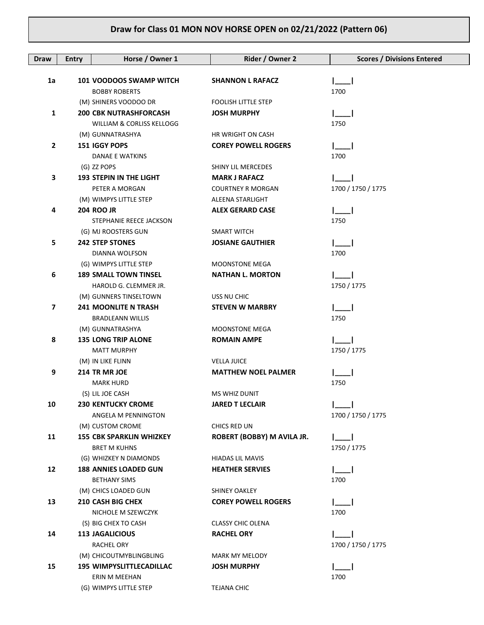| Draw           | <b>Entry</b> | Horse / Owner 1                                        | Rider / Owner 2            | <b>Scores / Divisions Entered</b> |
|----------------|--------------|--------------------------------------------------------|----------------------------|-----------------------------------|
|                |              |                                                        |                            |                                   |
| 1a             |              | 101 VOODOOS SWAMP WITCH                                | <b>SHANNON L RAFACZ</b>    |                                   |
|                |              | <b>BOBBY ROBERTS</b>                                   | <b>FOOLISH LITTLE STEP</b> | 1700                              |
| 1              |              | (M) SHINERS VOODOO DR<br><b>200 CBK NUTRASHFORCASH</b> | <b>JOSH MURPHY</b>         |                                   |
|                |              | WILLIAM & CORLISS KELLOGG                              |                            | 1750                              |
|                |              | (M) GUNNATRASHYA                                       | HR WRIGHT ON CASH          |                                   |
| 2              |              | 151 IGGY POPS                                          | <b>COREY POWELL ROGERS</b> |                                   |
|                |              | <b>DANAE E WATKINS</b>                                 |                            | 1700                              |
|                |              | (G) ZZ POPS                                            | SHINY LIL MERCEDES         |                                   |
| 3              |              | <b>193 STEPIN IN THE LIGHT</b>                         | <b>MARK J RAFACZ</b>       |                                   |
|                |              | PETER A MORGAN                                         | <b>COURTNEY R MORGAN</b>   | 1700 / 1750 / 1775                |
|                |              | (M) WIMPYS LITTLE STEP                                 | ALEENA STARLIGHT           |                                   |
| 4              |              | <b>204 ROO JR</b>                                      | <b>ALEX GERARD CASE</b>    |                                   |
|                |              | STEPHANIE REECE JACKSON                                |                            | 1750                              |
|                |              | (G) MJ ROOSTERS GUN                                    | <b>SMART WITCH</b>         |                                   |
| 5              |              | <b>242 STEP STONES</b>                                 | <b>JOSIANE GAUTHIER</b>    |                                   |
|                |              | DIANNA WOLFSON                                         |                            | 1700                              |
|                |              | (G) WIMPYS LITTLE STEP                                 | <b>MOONSTONE MEGA</b>      |                                   |
| 6              |              | <b>189 SMALL TOWN TINSEL</b>                           | <b>NATHAN L. MORTON</b>    |                                   |
|                |              | HAROLD G. CLEMMER JR.                                  |                            | 1750 / 1775                       |
|                |              | (M) GUNNERS TINSELTOWN                                 | USS NU CHIC                |                                   |
| $\overline{ }$ |              | <b>241 MOONLITE N TRASH</b>                            | <b>STEVEN W MARBRY</b>     |                                   |
|                |              | <b>BRADLEANN WILLIS</b>                                |                            | 1750                              |
|                |              | (M) GUNNATRASHYA                                       | <b>MOONSTONE MEGA</b>      |                                   |
| 8              |              | <b>135 LONG TRIP ALONE</b>                             | <b>ROMAIN AMPE</b>         |                                   |
|                |              | <b>MATT MURPHY</b>                                     |                            | 1750 / 1775                       |
|                |              | (M) IN LIKE FLINN                                      | <b>VELLA JUICE</b>         |                                   |
| 9              |              | 214 TR MR JOE                                          | <b>MATTHEW NOEL PALMER</b> |                                   |
|                |              | <b>MARK HURD</b><br>(S) LIL JOE CASH                   | <b>MS WHIZ DUNIT</b>       | 1750                              |
| 10             |              | <b>230 KENTUCKY CROME</b>                              | <b>JARED T LECLAIR</b>     |                                   |
|                |              | ANGELA M PENNINGTON                                    |                            | 1700 / 1750 / 1775                |
|                |              | (M) CUSTOM CROME                                       | CHICS RED UN               |                                   |
| 11             |              | <b>155 CBK SPARKLIN WHIZKEY</b>                        | ROBERT (BOBBY) M AVILA JR. |                                   |
|                |              | <b>BRET M KUHNS</b>                                    |                            | 1750 / 1775                       |
|                |              | (G) WHIZKEY N DIAMONDS                                 | <b>HIADAS LIL MAVIS</b>    |                                   |
| 12             |              | <b>188 ANNIES LOADED GUN</b>                           | <b>HEATHER SERVIES</b>     |                                   |
|                |              | <b>BETHANY SIMS</b>                                    |                            | 1700                              |
|                |              | (M) CHICS LOADED GUN                                   | <b>SHINEY OAKLEY</b>       |                                   |
| 13             |              | <b>210 CASH BIG CHEX</b>                               | <b>COREY POWELL ROGERS</b> |                                   |
|                |              | NICHOLE M SZEWCZYK                                     |                            | 1700                              |
|                |              | (S) BIG CHEX TO CASH                                   | <b>CLASSY CHIC OLENA</b>   |                                   |
| 14             |              | <b>113 JAGALICIOUS</b>                                 | <b>RACHEL ORY</b>          |                                   |
|                |              | <b>RACHEL ORY</b>                                      |                            | 1700 / 1750 / 1775                |
|                |              | (M) CHICOUTMYBLINGBLING                                | MARK MY MELODY             |                                   |
| 15             |              | <b>195 WIMPYSLITTLECADILLAC</b>                        | <b>JOSH MURPHY</b>         |                                   |
|                |              | ERIN M MEEHAN                                          |                            | 1700                              |
|                |              | (G) WIMPYS LITTLE STEP                                 | TEJANA CHIC                |                                   |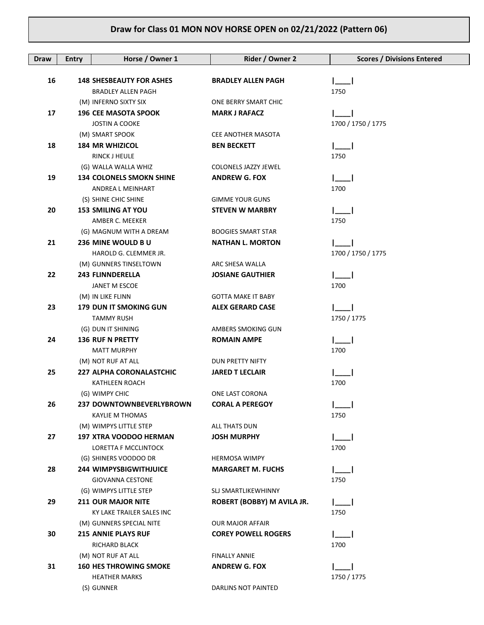| Draw | <b>Entry</b> | Horse / Owner 1                  | Rider / Owner 2            | <b>Scores / Divisions Entered</b> |
|------|--------------|----------------------------------|----------------------------|-----------------------------------|
|      |              |                                  |                            |                                   |
| 16   |              | <b>148 SHESBEAUTY FOR ASHES</b>  | <b>BRADLEY ALLEN PAGH</b>  |                                   |
|      |              | <b>BRADLEY ALLEN PAGH</b>        |                            | 1750                              |
|      |              | (M) INFERNO SIXTY SIX            | ONE BERRY SMART CHIC       |                                   |
| 17   |              | <b>196 CEE MASOTA SPOOK</b>      | <b>MARK J RAFACZ</b>       |                                   |
|      |              | <b>JOSTIN A COOKE</b>            |                            | 1700 / 1750 / 1775                |
|      |              | (M) SMART SPOOK                  | CEE ANOTHER MASOTA         |                                   |
| 18   |              | <b>184 MR WHIZICOL</b>           | <b>BEN BECKETT</b>         |                                   |
|      |              | <b>RINCK J HEULE</b>             |                            | 1750                              |
|      |              | (G) WALLA WALLA WHIZ             | COLONELS JAZZY JEWEL       |                                   |
| 19   |              | <b>134 COLONELS SMOKN SHINE</b>  | <b>ANDREW G. FOX</b>       |                                   |
|      |              | ANDREA L MEINHART                |                            | 1700                              |
|      |              | (S) SHINE CHIC SHINE             | <b>GIMME YOUR GUNS</b>     |                                   |
| 20   |              | <b>153 SMILING AT YOU</b>        | <b>STEVEN W MARBRY</b>     |                                   |
|      |              | AMBER C. MEEKER                  |                            | 1750                              |
|      |              | (G) MAGNUM WITH A DREAM          | <b>BOOGIES SMART STAR</b>  |                                   |
| 21   |              | 236 MINE WOULD BU                | <b>NATHAN L. MORTON</b>    |                                   |
|      |              | HAROLD G. CLEMMER JR.            |                            | 1700 / 1750 / 1775                |
|      |              | (M) GUNNERS TINSELTOWN           | ARC SHESA WALLA            |                                   |
| 22   |              | <b>243 FLINNDERELLA</b>          | <b>JOSIANE GAUTHIER</b>    |                                   |
|      |              | JANET M ESCOE                    |                            | 1700                              |
|      |              | (M) IN LIKE FLINN                | <b>GOTTA MAKE IT BABY</b>  |                                   |
| 23   |              | <b>179 DUN IT SMOKING GUN</b>    | <b>ALEX GERARD CASE</b>    |                                   |
|      |              | <b>TAMMY RUSH</b>                |                            | 1750 / 1775                       |
|      |              | (G) DUN IT SHINING               | AMBERS SMOKING GUN         |                                   |
| 24   |              | <b>136 RUF N PRETTY</b>          | <b>ROMAIN AMPE</b>         |                                   |
|      |              | <b>MATT MURPHY</b>               |                            | 1700                              |
|      |              | (M) NOT RUF AT ALL               | DUN PRETTY NIFTY           |                                   |
| 25   |              | <b>227 ALPHA CORONALASTCHIC</b>  | <b>JARED T LECLAIR</b>     | 1700                              |
|      |              | KATHLEEN ROACH<br>(G) WIMPY CHIC | ONE LAST CORONA            |                                   |
| 26   |              | 237 DOWNTOWNBEVERLYBROWN         | <b>CORAL A PEREGOY</b>     |                                   |
|      |              | <b>KAYLIE M THOMAS</b>           |                            | 1750                              |
|      |              | (M) WIMPYS LITTLE STEP           | ALL THATS DUN              |                                   |
| 27   |              | <b>197 XTRA VOODOO HERMAN</b>    | <b>JOSH MURPHY</b>         |                                   |
|      |              | LORETTA F MCCLINTOCK             |                            | 1700                              |
|      |              | (G) SHINERS VOODOO DR            | <b>HERMOSA WIMPY</b>       |                                   |
| 28   |              | <b>244 WIMPYSBIGWITHJUICE</b>    | <b>MARGARET M. FUCHS</b>   |                                   |
|      |              | <b>GIOVANNA CESTONE</b>          |                            | 1750                              |
|      |              | (G) WIMPYS LITTLE STEP           | SLJ SMARTLIKEWHINNY        |                                   |
| 29   |              | <b>211 OUR MAJOR NITE</b>        | ROBERT (BOBBY) M AVILA JR. | $\mathsf{I}=\mathsf{I}$           |
|      |              | KY LAKE TRAILER SALES INC        |                            | 1750                              |
|      |              | (M) GUNNERS SPECIAL NITE         | <b>OUR MAJOR AFFAIR</b>    |                                   |
| 30   |              | <b>215 ANNIE PLAYS RUF</b>       | <b>COREY POWELL ROGERS</b> |                                   |
|      |              | RICHARD BLACK                    |                            | 1700                              |
|      |              | (M) NOT RUF AT ALL               | <b>FINALLY ANNIE</b>       |                                   |
| 31   |              | <b>160 HES THROWING SMOKE</b>    | <b>ANDREW G. FOX</b>       |                                   |
|      |              | <b>HEATHER MARKS</b>             |                            | 1750 / 1775                       |
|      |              | (S) GUNNER                       | DARLINS NOT PAINTED        |                                   |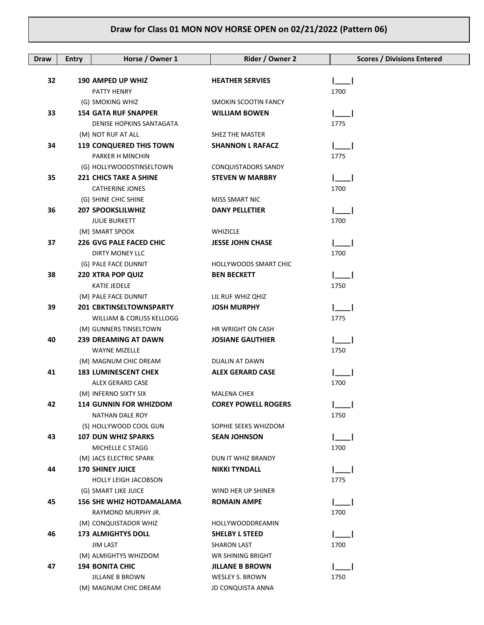| <b>Draw</b> | <b>Entry</b> | Horse / Owner 1                                         | Rider / Owner 2              | <b>Scores / Divisions Entered</b> |
|-------------|--------------|---------------------------------------------------------|------------------------------|-----------------------------------|
|             |              |                                                         |                              |                                   |
| 32          |              | <b>190 AMPED UP WHIZ</b>                                | <b>HEATHER SERVIES</b>       |                                   |
|             |              | PATTY HENRY<br>(G) SMOKING WHIZ                         | SMOKIN SCOOTIN FANCY         | 1700                              |
| 33          |              | <b>154 GATA RUF SNAPPER</b>                             | <b>WILLIAM BOWEN</b>         |                                   |
|             |              | DENISE HOPKINS SANTAGATA                                |                              | 1775                              |
|             |              | (M) NOT RUF AT ALL                                      | SHEZ THE MASTER              |                                   |
| 34          |              | <b>119 CONQUERED THIS TOWN</b>                          | <b>SHANNON L RAFACZ</b>      |                                   |
|             |              | PARKER H MINCHIN                                        |                              | 1775                              |
|             |              | (G) HOLLYWOODSTINSELTOWN                                | CONQUISTADORS SANDY          |                                   |
| 35          |              | <b>221 CHICS TAKE A SHINE</b>                           | <b>STEVEN W MARBRY</b>       |                                   |
|             |              | <b>CATHERINE JONES</b>                                  |                              | 1700                              |
|             |              | (G) SHINE CHIC SHINE                                    | MISS SMART NIC               |                                   |
| 36          |              | <b>207 SPOOKSLILWHIZ</b>                                | <b>DANY PELLETIER</b>        |                                   |
|             |              | <b>JULIE BURKETT</b>                                    |                              | 1700                              |
|             |              | (M) SMART SPOOK                                         | <b>WHIZICLE</b>              |                                   |
| 37          |              | <b>226 GVG PALE FACED CHIC</b>                          | <b>JESSE JOHN CHASE</b>      |                                   |
|             |              | DIRTY MONEY LLC                                         |                              | 1700                              |
|             |              | (G) PALE FACE DUNNIT                                    | <b>HOLLYWOODS SMART CHIC</b> |                                   |
| 38          |              | <b>220 XTRA POP QUIZ</b>                                | <b>BEN BECKETT</b>           |                                   |
|             |              | KATIE JEDELE                                            |                              | 1750                              |
|             |              | (M) PALE FACE DUNNIT                                    | LIL RUF WHIZ QHIZ            |                                   |
| 39          |              | <b>201 CBKTINSELTOWNSPARTY</b>                          | <b>JOSH MURPHY</b>           |                                   |
|             |              | WILLIAM & CORLISS KELLOGG                               |                              | 1775                              |
|             |              | (M) GUNNERS TINSELTOWN                                  | HR WRIGHT ON CASH            |                                   |
| 40          |              | <b>239 DREAMING AT DAWN</b>                             | <b>JOSIANE GAUTHIER</b>      |                                   |
|             |              | WAYNE MIZELLE                                           |                              | 1750                              |
|             |              | (M) MAGNUM CHIC DREAM                                   | DUALIN AT DAWN               |                                   |
| 41          |              | <b>183 LUMINESCENT CHEX</b>                             | <b>ALEX GERARD CASE</b>      |                                   |
|             |              | ALEX GERARD CASE                                        |                              | 1700                              |
|             |              | (M) INFERNO SIXTY SIX                                   | <b>MALENA CHEX</b>           |                                   |
| 42          |              | <b>114 GUNNIN FOR WHIZDOM</b><br><b>NATHAN DALE ROY</b> | <b>COREY POWELL ROGERS</b>   | 1750                              |
|             |              | (S) HOLLYWOOD COOL GUN                                  | SOPHIE SEEKS WHIZDOM         |                                   |
| 43          |              | <b>107 DUN WHIZ SPARKS</b>                              | <b>SEAN JOHNSON</b>          |                                   |
|             |              | MICHELLE C STAGG                                        |                              | 1700                              |
|             |              | (M) JACS ELECTRIC SPARK                                 | DUN IT WHIZ BRANDY           |                                   |
| 44          |              | <b>170 SHINEY JUICE</b>                                 | <b>NIKKI TYNDALL</b>         |                                   |
|             |              | <b>HOLLY LEIGH JACOBSON</b>                             |                              | 1775                              |
|             |              | (G) SMART LIKE JUICE                                    | WIND HER UP SHINER           |                                   |
| 45          |              | <b>156 SHE WHIZ HOTDAMALAMA</b>                         | <b>ROMAIN AMPE</b>           |                                   |
|             |              | RAYMOND MURPHY JR.                                      |                              | 1700                              |
|             |              | (M) CONQUISTADOR WHIZ                                   | HOLLYWOODDREAMIN             |                                   |
| 46          |              | <b>173 ALMIGHTYS DOLL</b>                               | <b>SHELBY L STEED</b>        |                                   |
|             |              | <b>JIM LAST</b>                                         | <b>SHARON LAST</b>           | 1700                              |
|             |              | (M) ALMIGHTYS WHIZDOM                                   | WR SHINING BRIGHT            |                                   |
| 47          |              | <b>194 BONITA CHIC</b>                                  | <b>JILLANE B BROWN</b>       |                                   |
|             |              | JILLANE B BROWN                                         | WESLEY S. BROWN              | 1750                              |
|             |              | (M) MAGNUM CHIC DREAM                                   | <b>JD CONQUISTA ANNA</b>     |                                   |